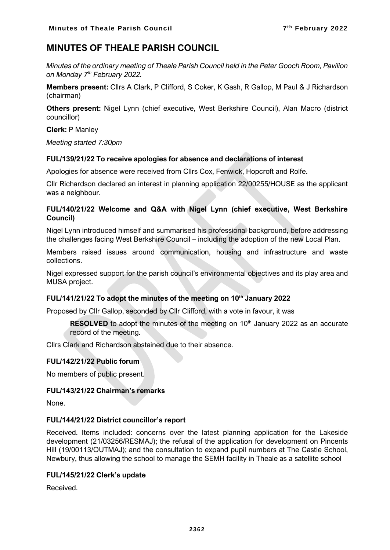# **MINUTES OF THEALE PARISH COUNCIL**

*Minutes of the ordinary meeting of Theale Parish Council held in the Peter Gooch Room, Pavilion on Monday 7 th February 2022.*

**Members present:** Cllrs A Clark, P Clifford, S Coker, K Gash, R Gallop, M Paul & J Richardson (chairman)

**Others present:** Nigel Lynn (chief executive, West Berkshire Council), Alan Macro (district councillor)

**Clerk:** P Manley

*Meeting started 7:30pm*

# **FUL/139/21/22 To receive apologies for absence and declarations of interest**

Apologies for absence were received from Cllrs Cox, Fenwick, Hopcroft and Rolfe.

Cllr Richardson declared an interest in planning application 22/00255/HOUSE as the applicant was a neighbour.

# **FUL/140/21/22 Welcome and Q&A with Nigel Lynn (chief executive, West Berkshire Council)**

Nigel Lynn introduced himself and summarised his professional background, before addressing the challenges facing West Berkshire Council – including the adoption of the new Local Plan.

Members raised issues around communication, housing and infrastructure and waste collections.

Nigel expressed support for the parish council's environmental objectives and its play area and MUSA project.

# **FUL/141/21/22 To adopt the minutes of the meeting on 10th January 2022**

Proposed by Cllr Gallop, seconded by Cllr Clifford, with a vote in favour, it was

**RESOLVED** to adopt the minutes of the meeting on 10<sup>th</sup> January 2022 as an accurate record of the meeting.

Cllrs Clark and Richardson abstained due to their absence.

#### **FUL/142/21/22 Public forum**

No members of public present.

#### **FUL/143/21/22 Chairman's remarks**

None.

#### **FUL/144/21/22 District councillor's report**

Received. Items included: concerns over the latest planning application for the Lakeside development (21/03256/RESMAJ); the refusal of the application for development on Pincents Hill (19/00113/OUTMAJ); and the consultation to expand pupil numbers at The Castle School, Newbury, thus allowing the school to manage the SEMH facility in Theale as a satellite school

# **FUL/145/21/22 Clerk's update**

Received.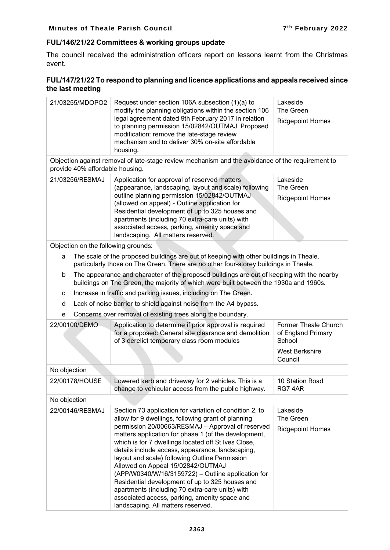# **FUL/146/21/22 Committees & working groups update**

The council received the administration officers report on lessons learnt from the Christmas event.

# **FUL/147/21/22 To respond to planning and licence applications and appeals received since the last meeting**

| 21/03255/MDOPO2                                                                                                                                                                         | Request under section 106A subsection (1)(a) to<br>modify the planning obligations within the section 106<br>legal agreement dated 9th February 2017 in relation<br>to planning permission 15/02842/OUTMAJ. Proposed<br>modification: remove the late-stage review<br>mechanism and to deliver 30% on-site affordable<br>housing.                                                                                                                                                                                                                                                                                                                                               | Lakeside<br>The Green<br><b>Ridgepoint Homes</b>                       |  |  |
|-----------------------------------------------------------------------------------------------------------------------------------------------------------------------------------------|---------------------------------------------------------------------------------------------------------------------------------------------------------------------------------------------------------------------------------------------------------------------------------------------------------------------------------------------------------------------------------------------------------------------------------------------------------------------------------------------------------------------------------------------------------------------------------------------------------------------------------------------------------------------------------|------------------------------------------------------------------------|--|--|
| Objection against removal of late-stage review mechanism and the avoidance of the requirement to<br>provide 40% affordable housing.                                                     |                                                                                                                                                                                                                                                                                                                                                                                                                                                                                                                                                                                                                                                                                 |                                                                        |  |  |
| 21/03256/RESMAJ                                                                                                                                                                         | Application for approval of reserved matters<br>(appearance, landscaping, layout and scale) following<br>outline planning permission 15/02842/OUTMAJ<br>(allowed on appeal) - Outline application for<br>Residential development of up to 325 houses and<br>apartments (including 70 extra-care units) with<br>associated access, parking, amenity space and<br>landscaping. All matters reserved.                                                                                                                                                                                                                                                                              | Lakeside<br>The Green<br><b>Ridgepoint Homes</b>                       |  |  |
| Objection on the following grounds:                                                                                                                                                     |                                                                                                                                                                                                                                                                                                                                                                                                                                                                                                                                                                                                                                                                                 |                                                                        |  |  |
| The scale of the proposed buildings are out of keeping with other buildings in Theale,<br>a<br>particularly those on The Green. There are no other four-storey buildings in Theale.     |                                                                                                                                                                                                                                                                                                                                                                                                                                                                                                                                                                                                                                                                                 |                                                                        |  |  |
| The appearance and character of the proposed buildings are out of keeping with the nearby<br>b<br>buildings on The Green, the majority of which were built between the 1930a and 1960s. |                                                                                                                                                                                                                                                                                                                                                                                                                                                                                                                                                                                                                                                                                 |                                                                        |  |  |
| с                                                                                                                                                                                       | Increase in traffic and parking issues, including on The Green.                                                                                                                                                                                                                                                                                                                                                                                                                                                                                                                                                                                                                 |                                                                        |  |  |
| d                                                                                                                                                                                       | Lack of noise barrier to shield against noise from the A4 bypass.                                                                                                                                                                                                                                                                                                                                                                                                                                                                                                                                                                                                               |                                                                        |  |  |
| е                                                                                                                                                                                       | Concerns over removal of existing trees along the boundary.                                                                                                                                                                                                                                                                                                                                                                                                                                                                                                                                                                                                                     |                                                                        |  |  |
| 22/00100/DEMO                                                                                                                                                                           | Application to determine if prior approval is required<br>for a proposed: General site clearance and demolition<br>of 3 derelict temporary class room modules                                                                                                                                                                                                                                                                                                                                                                                                                                                                                                                   | Former Theale Church<br>of England Primary<br>School<br>West Berkshire |  |  |
|                                                                                                                                                                                         |                                                                                                                                                                                                                                                                                                                                                                                                                                                                                                                                                                                                                                                                                 | Council                                                                |  |  |
| No objection                                                                                                                                                                            |                                                                                                                                                                                                                                                                                                                                                                                                                                                                                                                                                                                                                                                                                 |                                                                        |  |  |
| 22/00178/HOUSE                                                                                                                                                                          | Lowered kerb and driveway for 2 vehicles. This is a<br>change to vehicular access from the public highway.                                                                                                                                                                                                                                                                                                                                                                                                                                                                                                                                                                      | 10 Station Road<br>RG74AR                                              |  |  |
| No objection                                                                                                                                                                            |                                                                                                                                                                                                                                                                                                                                                                                                                                                                                                                                                                                                                                                                                 |                                                                        |  |  |
| 22/00146/RESMAJ                                                                                                                                                                         | Section 73 application for variation of condition 2, to<br>allow for 9 dwellings, following grant of planning<br>permission 20/00663/RESMAJ - Approval of reserved<br>matters application for phase 1 (of the development,<br>which is for 7 dwellings located off St Ives Close,<br>details include access, appearance, landscaping,<br>layout and scale) following Outline Permission<br>Allowed on Appeal 15/02842/OUTMAJ<br>(APP/W0340/W/16/3159722) - Outline application for<br>Residential development of up to 325 houses and<br>apartments (including 70 extra-care units) with<br>associated access, parking, amenity space and<br>landscaping. All matters reserved. | Lakeside<br>The Green<br><b>Ridgepoint Homes</b>                       |  |  |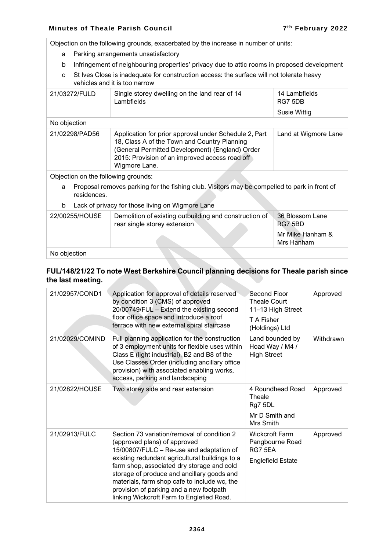Objection on the following grounds, exacerbated by the increase in number of units:

- a Parking arrangements unsatisfactory
- b Infringement of neighbouring properties' privacy due to attic rooms in proposed development
- c St Ives Close is inadequate for construction access: the surface will not tolerate heavy vehicles and it is too narrow

| 21/03272/FULD                                                                                                    | Single storey dwelling on the land rear of 14<br>Lambfields                                                                                                                                                                 | 14 Lambfields<br>RG7 5DB       |  |  |  |
|------------------------------------------------------------------------------------------------------------------|-----------------------------------------------------------------------------------------------------------------------------------------------------------------------------------------------------------------------------|--------------------------------|--|--|--|
|                                                                                                                  |                                                                                                                                                                                                                             | <b>Susie Wittig</b>            |  |  |  |
| No objection                                                                                                     |                                                                                                                                                                                                                             |                                |  |  |  |
| 21/02298/PAD56                                                                                                   | Application for prior approval under Schedule 2, Part<br>18, Class A of the Town and Country Planning<br>(General Permitted Development) (England) Order<br>2015: Provision of an improved access road off<br>Wigmore Lane. | Land at Wigmore Lane           |  |  |  |
| Objection on the following grounds:                                                                              |                                                                                                                                                                                                                             |                                |  |  |  |
| Proposal removes parking for the fishing club. Visitors may be compelled to park in front of<br>a<br>residences. |                                                                                                                                                                                                                             |                                |  |  |  |
| Lack of privacy for those living on Wigmore Lane<br>b                                                            |                                                                                                                                                                                                                             |                                |  |  |  |
| 22/00255/HOUSE                                                                                                   | Demolition of existing outbuilding and construction of<br>rear single storey extension                                                                                                                                      | 36 Blossom Lane<br>RG7 5BD     |  |  |  |
|                                                                                                                  |                                                                                                                                                                                                                             | Mr Mike Hanham &<br>Mrs Hanham |  |  |  |
| No objection                                                                                                     |                                                                                                                                                                                                                             |                                |  |  |  |

# **FUL/148/21/22 To note West Berkshire Council planning decisions for Theale parish since the last meeting.**

| 21/02957/COND1  | Application for approval of details reserved<br>by condition 3 (CMS) of approved<br>20/00749/FUL - Extend the existing second<br>floor office space and introduce a roof<br>terrace with new external spiral staircase                                                                                                                                                                                        | Second Floor<br>Theale Court<br>11-13 High Street<br>T A Fisher<br>(Holdings) Ltd | Approved  |
|-----------------|---------------------------------------------------------------------------------------------------------------------------------------------------------------------------------------------------------------------------------------------------------------------------------------------------------------------------------------------------------------------------------------------------------------|-----------------------------------------------------------------------------------|-----------|
| 21/02029/COMIND | Full planning application for the construction<br>of 3 employment units for flexible uses within<br>Class E (light industrial), B2 and B8 of the<br>Use Classes Order (including ancillary office<br>provision) with associated enabling works,<br>access, parking and landscaping                                                                                                                            | Land bounded by<br>Hoad Way / M4 /<br><b>High Street</b>                          | Withdrawn |
| 21/02822/HOUSE  | Two storey side and rear extension                                                                                                                                                                                                                                                                                                                                                                            | 4 Roundhead Road<br>Theale<br>Rg7 5DL<br>Mr D Smith and<br>Mrs Smith              | Approved  |
| 21/02913/FULC   | Section 73 variation/removal of condition 2<br>(approved plans) of approved<br>15/00807/FULC - Re-use and adaptation of<br>existing redundant agricultural buildings to a<br>farm shop, associated dry storage and cold<br>storage of produce and ancillary goods and<br>materials, farm shop cafe to include wc, the<br>provision of parking and a new footpath<br>linking Wickcroft Farm to Englefied Road. | <b>Wickcroft Farm</b><br>Pangbourne Road<br>RG7 5EA<br><b>Englefield Estate</b>   | Approved  |